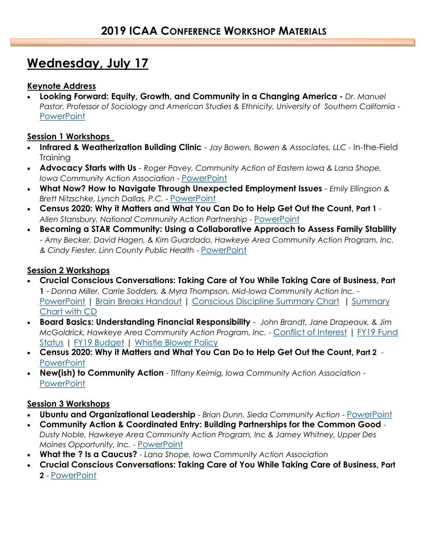## **Wednesday, July 17**

### **Keynote Address**

 **Looking Forward: Equity, Growth, and Community in a Changing America -** *Dr. Manuel Pastor, Professor of Sociology and American Studies & Ethnicity, University of Southern California -* **[PowerPoint](http://iowacommunityaction.org/wp-content/uploads/2019/07/Iowa_Community_Action_2019_v_01.pdf)** 

#### **Session 1 Workshops**

- **Infrared & Weatherization Building Clinic**  *Jay Bowen, Bowen & Associates, LLC -* In-the-Field **Training**
- **Advocacy Starts with Us**  *Roger Pavey, Community Action of Eastern Iowa & Lana Shope, Iowa Community Action Association* - [PowerPoint](http://iowacommunityaction.org/wp-content/uploads/2019/07/Advocacy-Starts-With-Us-ICAA.pdf)
- **What Now? How to Navigate Through Unexpected Employment Issues** *Emily Ellingson & Brett Nitzschke, Lynch Dallas, P.C.* - [PowerPoint](http://iowacommunityaction.org/wp-content/uploads/2019/07/Lynch-Dallas-Presentation-Nitzschke-Ellingson-7.3.19-.pdf)
- **Census 2020: Why it Matters and What You Can Do to Help Get Out the Count, Part 1**  *Allen Stansbury, National Community Action Partnership* - [PowerPoint](http://iowacommunityaction.org/wp-content/uploads/2019/07/Community-Action-and-Census-2020-Core-Presentation-Iowa-1.pdf)
- **Becoming a STAR Community: Using a Collaborative Approach to Assess Family Stability**  - *Amy Becker, David Hagen, & Kim Guardado, Hawkeye Area Community Action Program, Inc. & Cindy Fiester, Linn County Public Health* - [PowerPoint](http://iowacommunityaction.org/wp-content/uploads/2019/07/2019-ICAA-Social-Determinants-Community-Collaboration-7-17-19-final-1.pdf)

#### **Session 2 Workshops**

- **Crucial Conscious Conversations: Taking Care of You While Taking Care of Business, Part 1** - *Donna Miller, Carrie Sodders, & Myra Thompson, Mid-Iowa Community Action Inc.* - [PowerPoint](http://iowacommunityaction.org/wp-content/uploads/2019/07/Crucial-Conscious-Conversations-FInal.pdf) | [Brain Breaks Handout](http://iowacommunityaction.org/wp-content/uploads/2019/07/Brain-Breaks.pdf) | [Conscious Discipline Summary Chart](http://iowacommunityaction.org/wp-content/uploads/2019/07/Conscious-Discipline-Summary-chart.pdf) | [Summary](http://iowacommunityaction.org/wp-content/uploads/2019/07/Crucial-Conversation-Summary-chart-with-CD.pdf)  [Chart with CD](http://iowacommunityaction.org/wp-content/uploads/2019/07/Crucial-Conversation-Summary-chart-with-CD.pdf)
- **Board Basics: Understanding Financial Responsibility**  *John Brandt, Jane Drapeaux, & Jim McGoldrick, Hawkeye Area Community Action Program, Inc. - [Conflict of Interest](http://iowacommunityaction.org/wp-content/uploads/2019/07/Conflict-of-Interest-Board-Member-Policyrevnov09.pdf) | FY19 Fund* [Status](http://iowacommunityaction.org/wp-content/uploads/2019/07/FY19-FUND-STATUS-Shortened.pdf) | [FY19 Budget](http://iowacommunityaction.org/wp-content/uploads/2019/07/HACAP-FY19-Budget.pdf) | [Whistle Blower Policy](http://iowacommunityaction.org/wp-content/uploads/2019/07/Whistle-Blower-Policy-9.2.09.pdf)
- **Census 2020: Why it Matters and What You Can Do to Help Get Out the Count, Part 2 [PowerPoint](http://iowacommunityaction.org/wp-content/uploads/2019/07/Community-Action-and-Census-2020-Core-Presentation-Iowa-1.pdf)**
- **New(ish) to Community Action**  *Tiffany Keimig, Iowa Community Action Association* **[PowerPoint](http://iowacommunityaction.org/wp-content/uploads/2019/07/2019-Newish-to-Community-Action.pdf)**

#### **Session 3 Workshops**

- **Ubuntu and Organizational Leadership**  *Brian Dunn, Sieda Community Action*  [PowerPoint](http://iowacommunityaction.org/wp-content/uploads/2019/07/Ubuntu-ICAA-1.pdf)
- **Community Action & Coordinated Entry: Building Partnerships for the Common Good**  *Dusty Noble, Hawkeye Area Community Action Program, Inc & Jamey Whitney, Upper Des Moines Opportunity, Inc.* - [PowerPoint](http://iowacommunityaction.org/wp-content/uploads/2019/07/Dusty-Noble-and-Jamey-W.pdf)
- **What the ? Is a Caucus?** *Lana Shope, Iowa Community Action Association*
- **Crucial Conscious Conversations: Taking Care of You While Taking Care of Business, Part 2** - [PowerPoint](http://iowacommunityaction.org/wp-content/uploads/2019/07/Crucial-Conscious-Conversations-FInal.pdf)